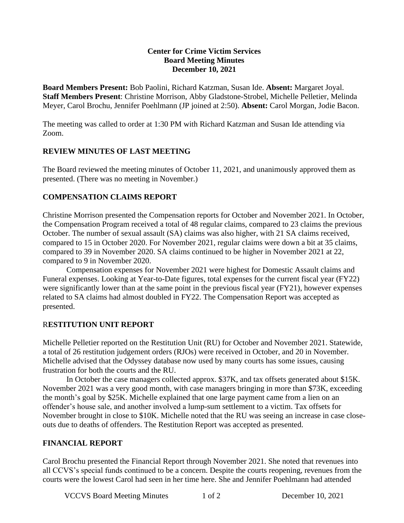#### **Center for Crime Victim Services Board Meeting Minutes December 10, 2021**

**Board Members Present:** Bob Paolini, Richard Katzman, Susan Ide. **Absent:** Margaret Joyal. **Staff Members Present**: Christine Morrison, Abby Gladstone-Strobel, Michelle Pelletier, Melinda Meyer, Carol Brochu, Jennifer Poehlmann (JP joined at 2:50). **Absent:** Carol Morgan, Jodie Bacon.

The meeting was called to order at 1:30 PM with Richard Katzman and Susan Ide attending via Zoom.

#### **REVIEW MINUTES OF LAST MEETING**

The Board reviewed the meeting minutes of October 11, 2021, and unanimously approved them as presented. (There was no meeting in November.)

#### **COMPENSATION CLAIMS REPORT**

Christine Morrison presented the Compensation reports for October and November 2021. In October, the Compensation Program received a total of 48 regular claims, compared to 23 claims the previous October. The number of sexual assault (SA) claims was also higher, with 21 SA claims received, compared to 15 in October 2020. For November 2021, regular claims were down a bit at 35 claims, compared to 39 in November 2020. SA claims continued to be higher in November 2021 at 22, compared to 9 in November 2020.

Compensation expenses for November 2021 were highest for Domestic Assault claims and Funeral expenses. Looking at Year-to-Date figures, total expenses for the current fiscal year (FY22) were significantly lower than at the same point in the previous fiscal year (FY21), however expenses related to SA claims had almost doubled in FY22. The Compensation Report was accepted as presented.

### R**ESTITUTION UNIT REPORT**

Michelle Pelletier reported on the Restitution Unit (RU) for October and November 2021. Statewide, a total of 26 restitution judgement orders (RJOs) were received in October, and 20 in November. Michelle advised that the Odyssey database now used by many courts has some issues, causing frustration for both the courts and the RU.

In October the case managers collected approx. \$37K, and tax offsets generated about \$15K. November 2021 was a very good month, with case managers bringing in more than \$73K, exceeding the month's goal by \$25K. Michelle explained that one large payment came from a lien on an offender's house sale, and another involved a lump-sum settlement to a victim. Tax offsets for November brought in close to \$10K. Michelle noted that the RU was seeing an increase in case closeouts due to deaths of offenders. The Restitution Report was accepted as presented.

### **FINANCIAL REPORT**

Carol Brochu presented the Financial Report through November 2021. She noted that revenues into all CCVS's special funds continued to be a concern. Despite the courts reopening, revenues from the courts were the lowest Carol had seen in her time here. She and Jennifer Poehlmann had attended